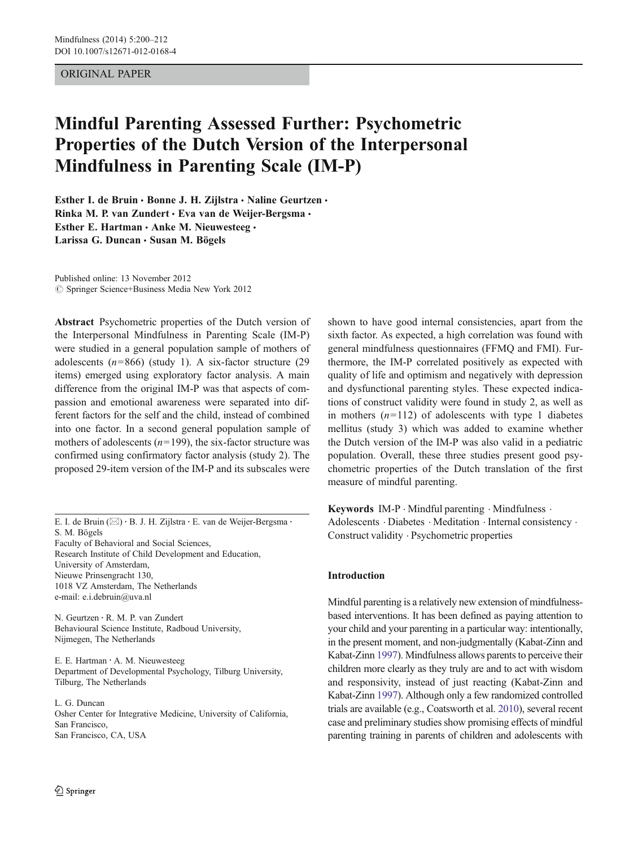# <span id="page-0-0"></span>ORIGINAL PAPER

# Mindful Parenting Assessed Further: Psychometric Properties of the Dutch Version of the Interpersonal Mindfulness in Parenting Scale (IM-P)

Esther I. de Bruin · Bonne J. H. Zijlstra · Naline Geurtzen · Rinka M. P. van Zundert · Eva van de Weijer-Bergsma · Esther E. Hartman · Anke M. Nieuwesteeg · Larissa G. Duncan · Susan M. Bögels

Published online: 13 November 2012  $\circledcirc$  Springer Science+Business Media New York 2012

Abstract Psychometric properties of the Dutch version of the Interpersonal Mindfulness in Parenting Scale (IM-P) were studied in a general population sample of mothers of adolescents  $(n=866)$  (study 1). A six-factor structure (29) items) emerged using exploratory factor analysis. A main difference from the original IM-P was that aspects of compassion and emotional awareness were separated into different factors for the self and the child, instead of combined into one factor. In a second general population sample of mothers of adolescents ( $n=199$ ), the six-factor structure was confirmed using confirmatory factor analysis (study 2). The proposed 29-item version of the IM-P and its subscales were

E. I. de Bruin  $(\boxtimes) \cdot$  B. J. H. Zijlstra  $\cdot$  E. van de Weijer-Bergsma  $\cdot$ S. M. Bögels Faculty of Behavioral and Social Sciences,

Research Institute of Child Development and Education, University of Amsterdam, Nieuwe Prinsengracht 130, 1018 VZ Amsterdam, The Netherlands e-mail: e.i.debruin@uva.nl

N. Geurtzen : R. M. P. van Zundert Behavioural Science Institute, Radboud University, Nijmegen, The Netherlands

E. E. Hartman : A. M. Nieuwesteeg Department of Developmental Psychology, Tilburg University, Tilburg, The Netherlands

L. G. Duncan Osher Center for Integrative Medicine, University of California, San Francisco, San Francisco, CA, USA

shown to have good internal consistencies, apart from the sixth factor. As expected, a high correlation was found with general mindfulness questionnaires (FFMQ and FMI). Furthermore, the IM-P correlated positively as expected with quality of life and optimism and negatively with depression and dysfunctional parenting styles. These expected indications of construct validity were found in study 2, as well as in mothers  $(n=112)$  of adolescents with type 1 diabetes mellitus (study 3) which was added to examine whether the Dutch version of the IM-P was also valid in a pediatric population. Overall, these three studies present good psychometric properties of the Dutch translation of the first measure of mindful parenting.

Keywords IM-P · Mindful parenting · Mindfulness · Adolescents . Diabetes . Meditation . Internal consistency . Construct validity . Psychometric properties

# Introduction

Mindful parenting is a relatively new extension of mindfulnessbased interventions. It has been defined as paying attention to your child and your parenting in a particular way: intentionally, in the present moment, and non-judgmentally (Kabat-Zinn and Kabat-Zinn [1997](#page-12-0)). Mindfulness allows parents to perceive their children more clearly as they truly are and to act with wisdom and responsivity, instead of just reacting (Kabat-Zinn and Kabat-Zinn [1997](#page-12-0)). Although only a few randomized controlled trials are available (e.g., Coatsworth et al. [2010](#page-12-0)), several recent case and preliminary studies show promising effects of mindful parenting training in parents of children and adolescents with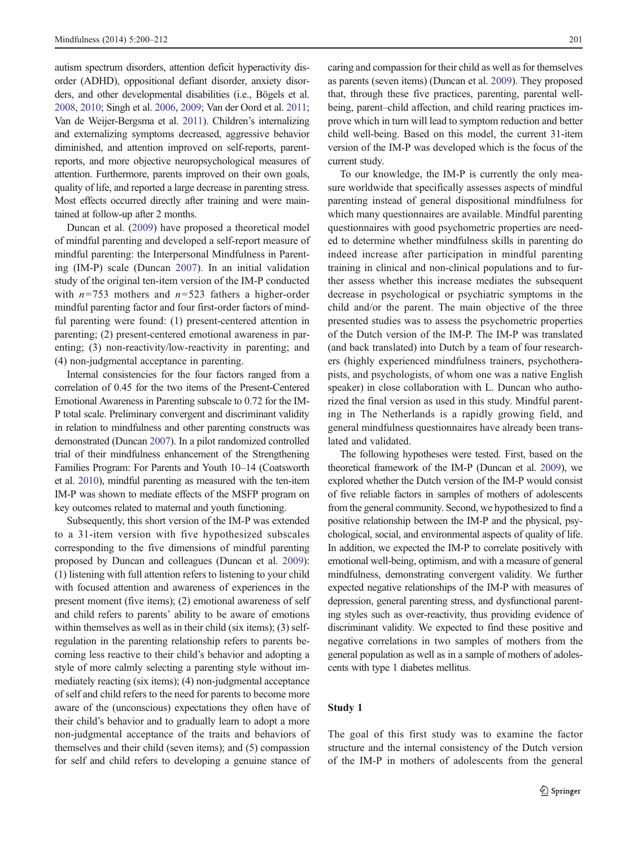<span id="page-1-0"></span>autism spectrum disorders, attention deficit hyperactivity disorder (ADHD), oppositional defiant disorder, anxiety disorders, and other developmental disabilities (i.e., Bögels et al. [2008](#page-11-0), [2010](#page-11-0); Singh et al. [2006,](#page-12-0) [2009;](#page-12-0) Van der Oord et al. [2011](#page-12-0); Van de Weijer-Bergsma et al. [2011](#page-12-0)). Children's internalizing and externalizing symptoms decreased, aggressive behavior diminished, and attention improved on self-reports, parentreports, and more objective neuropsychological measures of attention. Furthermore, parents improved on their own goals, quality of life, and reported a large decrease in parenting stress. Most effects occurred directly after training and were maintained at follow-up after 2 months.

Duncan et al. [\(2009](#page-12-0)) have proposed a theoretical model of mindful parenting and developed a self-report measure of mindful parenting: the Interpersonal Mindfulness in Parenting (IM-P) scale (Duncan [2007](#page-12-0)). In an initial validation study of the original ten-item version of the IM-P conducted with  $n=753$  mothers and  $n=523$  fathers a higher-order mindful parenting factor and four first-order factors of mindful parenting were found: (1) present-centered attention in parenting; (2) present-centered emotional awareness in parenting; (3) non-reactivity/low-reactivity in parenting; and (4) non-judgmental acceptance in parenting.

Internal consistencies for the four factors ranged from a correlation of 0.45 for the two items of the Present-Centered Emotional Awareness in Parenting subscale to 0.72 for the IM-P total scale. Preliminary convergent and discriminant validity in relation to mindfulness and other parenting constructs was demonstrated (Duncan [2007](#page-12-0)). In a pilot randomized controlled trial of their mindfulness enhancement of the Strengthening Families Program: For Parents and Youth 10–14 (Coatsworth et al. [2010](#page-12-0)), mindful parenting as measured with the ten-item IM-P was shown to mediate effects of the MSFP program on key outcomes related to maternal and youth functioning.

Subsequently, this short version of the IM-P was extended to a 31-item version with five hypothesized subscales corresponding to the five dimensions of mindful parenting proposed by Duncan and colleagues (Duncan et al. [2009](#page-12-0)): (1) listening with full attention refers to listening to your child with focused attention and awareness of experiences in the present moment (five items); (2) emotional awareness of self and child refers to parents' ability to be aware of emotions within themselves as well as in their child (six items); (3) selfregulation in the parenting relationship refers to parents becoming less reactive to their child's behavior and adopting a style of more calmly selecting a parenting style without immediately reacting (six items); (4) non-judgmental acceptance of self and child refers to the need for parents to become more aware of the (unconscious) expectations they often have of their child's behavior and to gradually learn to adopt a more non-judgmental acceptance of the traits and behaviors of themselves and their child (seven items); and (5) compassion for self and child refers to developing a genuine stance of caring and compassion for their child as well as for themselves as parents (seven items) (Duncan et al. [2009\)](#page-12-0). They proposed that, through these five practices, parenting, parental wellbeing, parent–child affection, and child rearing practices improve which in turn will lead to symptom reduction and better child well-being. Based on this model, the current 31-item version of the IM-P was developed which is the focus of the current study.

To our knowledge, the IM-P is currently the only measure worldwide that specifically assesses aspects of mindful parenting instead of general dispositional mindfulness for which many questionnaires are available. Mindful parenting questionnaires with good psychometric properties are needed to determine whether mindfulness skills in parenting do indeed increase after participation in mindful parenting training in clinical and non-clinical populations and to further assess whether this increase mediates the subsequent decrease in psychological or psychiatric symptoms in the child and/or the parent. The main objective of the three presented studies was to assess the psychometric properties of the Dutch version of the IM-P. The IM-P was translated (and back translated) into Dutch by a team of four researchers (highly experienced mindfulness trainers, psychotherapists, and psychologists, of whom one was a native English speaker) in close collaboration with L. Duncan who authorized the final version as used in this study. Mindful parenting in The Netherlands is a rapidly growing field, and general mindfulness questionnaires have already been translated and validated.

The following hypotheses were tested. First, based on the theoretical framework of the IM-P (Duncan et al. [2009\)](#page-12-0), we explored whether the Dutch version of the IM-P would consist of five reliable factors in samples of mothers of adolescents from the general community. Second, we hypothesized to find a positive relationship between the IM-P and the physical, psychological, social, and environmental aspects of quality of life. In addition, we expected the IM-P to correlate positively with emotional well-being, optimism, and with a measure of general mindfulness, demonstrating convergent validity. We further expected negative relationships of the IM-P with measures of depression, general parenting stress, and dysfunctional parenting styles such as over-reactivity, thus providing evidence of discriminant validity. We expected to find these positive and negative correlations in two samples of mothers from the general population as well as in a sample of mothers of adolescents with type 1 diabetes mellitus.

### Study 1

The goal of this first study was to examine the factor structure and the internal consistency of the Dutch version of the IM-P in mothers of adolescents from the general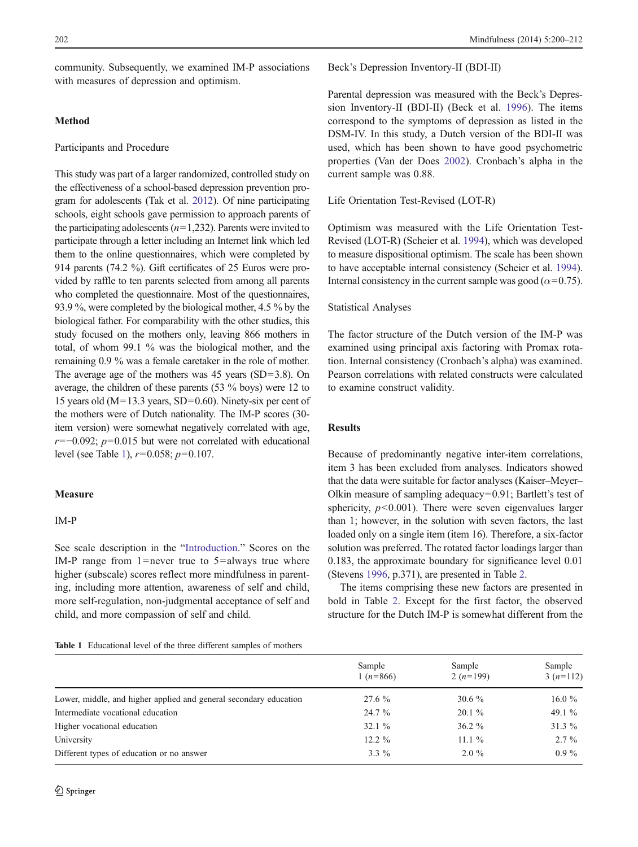<span id="page-2-0"></span>community. Subsequently, we examined IM-P associations with measures of depression and optimism.

## Method

### Participants and Procedure

This study was part of a larger randomized, controlled study on the effectiveness of a school-based depression prevention program for adolescents (Tak et al. [2012\)](#page-12-0). Of nine participating schools, eight schools gave permission to approach parents of the participating adolescents ( $n=1,232$ ). Parents were invited to participate through a letter including an Internet link which led them to the online questionnaires, which were completed by 914 parents (74.2 %). Gift certificates of 25 Euros were provided by raffle to ten parents selected from among all parents who completed the questionnaire. Most of the questionnaires, 93.9 %, were completed by the biological mother, 4.5 % by the biological father. For comparability with the other studies, this study focused on the mothers only, leaving 866 mothers in total, of whom 99.1 % was the biological mother, and the remaining 0.9 % was a female caretaker in the role of mother. The average age of the mothers was  $45$  years (SD=3.8). On average, the children of these parents (53 % boys) were 12 to 15 years old  $(M=13.3$  years, SD=0.60). Ninety-six per cent of the mothers were of Dutch nationality. The IM-P scores (30 item version) were somewhat negatively correlated with age,  $r=-0.092$ ;  $p=0.015$  but were not correlated with educational level (see Table 1),  $r=0.058$ ;  $p=0.107$ .

### Measure

# IM-P

See scale description in the "[Introduction.](#page-0-0)" Scores on the IM-P range from 1=never true to  $5=$ always true where higher (subscale) scores reflect more mindfulness in parenting, including more attention, awareness of self and child, more self-regulation, non-judgmental acceptance of self and child, and more compassion of self and child.

| <b>Table 1</b> Educational level of the three different samples of mothers |  |
|----------------------------------------------------------------------------|--|
|----------------------------------------------------------------------------|--|

Beck's Depression Inventory-II (BDI-II)

Parental depression was measured with the Beck's Depression Inventory-II (BDI-II) (Beck et al. [1996](#page-11-0)). The items correspond to the symptoms of depression as listed in the DSM-IV. In this study, a Dutch version of the BDI-II was used, which has been shown to have good psychometric properties (Van der Does [2002\)](#page-12-0). Cronbach's alpha in the current sample was 0.88.

### Life Orientation Test-Revised (LOT-R)

Optimism was measured with the Life Orientation Test-Revised (LOT-R) (Scheier et al. [1994](#page-12-0)), which was developed to measure dispositional optimism. The scale has been shown to have acceptable internal consistency (Scheier et al. [1994\)](#page-12-0). Internal consistency in the current sample was good ( $\alpha$ =0.75).

### Statistical Analyses

The factor structure of the Dutch version of the IM-P was examined using principal axis factoring with Promax rotation. Internal consistency (Cronbach's alpha) was examined. Pearson correlations with related constructs were calculated to examine construct validity.

# Results

Because of predominantly negative inter-item correlations, item 3 has been excluded from analyses. Indicators showed that the data were suitable for factor analyses (Kaiser–Meyer– Olkin measure of sampling adequacy=0.91; Bartlett's test of sphericity,  $p<0.001$ ). There were seven eigenvalues larger than 1; however, in the solution with seven factors, the last loaded only on a single item (item 16). Therefore, a six-factor solution was preferred. The rotated factor loadings larger than 0.183, the approximate boundary for significance level 0.01 (Stevens [1996,](#page-12-0) p.371), are presented in Table [2.](#page-3-0)

The items comprising these new factors are presented in bold in Table [2.](#page-3-0) Except for the first factor, the observed structure for the Dutch IM-P is somewhat different from the

|                                                                   | Sample<br>$1(n=866)$ | Sample<br>$2(n=199)$ | Sample<br>$3(n=112)$ |
|-------------------------------------------------------------------|----------------------|----------------------|----------------------|
| Lower, middle, and higher applied and general secondary education | $27.6\%$             | 30.6 $%$             | 16.0 $%$             |
| Intermediate vocational education                                 | $24.7\%$             | $20.1\%$             | 49.1 $%$             |
| Higher vocational education                                       | $32.1 \%$            | $36.2 \%$            | $31.3\%$             |
| University                                                        | $12.2 \%$            | $11.1\%$             | $2.7\%$              |
| Different types of education or no answer                         | $3.3\%$              | $2.0\%$              | $0.9\%$              |
|                                                                   |                      |                      |                      |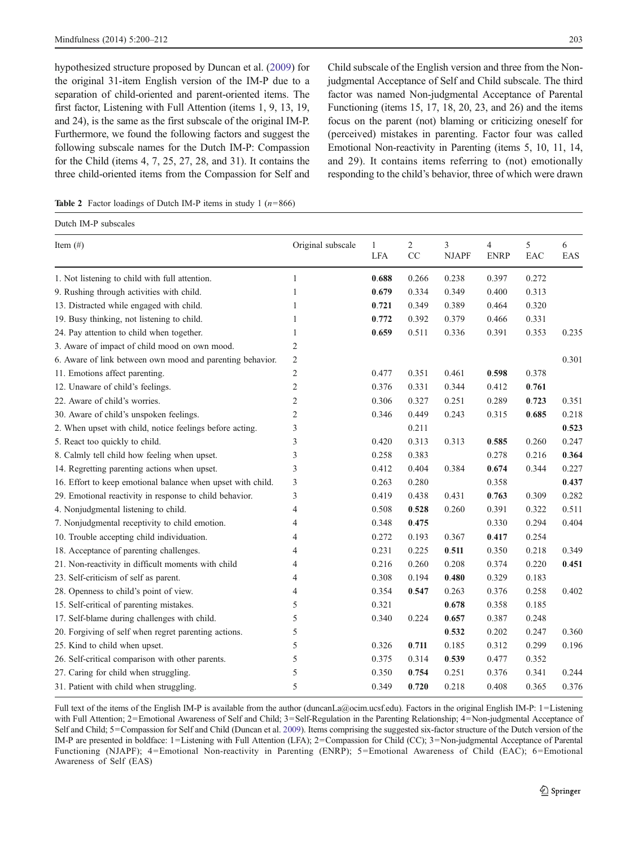<span id="page-3-0"></span>hypothesized structure proposed by Duncan et al. [\(2009](#page-12-0)) for the original 31-item English version of the IM-P due to a separation of child-oriented and parent-oriented items. The first factor, Listening with Full Attention (items 1, 9, 13, 19, and 24), is the same as the first subscale of the original IM-P. Furthermore, we found the following factors and suggest the following subscale names for the Dutch IM-P: Compassion for the Child (items 4, 7, 25, 27, 28, and 31). It contains the three child-oriented items from the Compassion for Self and Child subscale of the English version and three from the Nonjudgmental Acceptance of Self and Child subscale. The third factor was named Non-judgmental Acceptance of Parental Functioning (items 15, 17, 18, 20, 23, and 26) and the items focus on the parent (not) blaming or criticizing oneself for (perceived) mistakes in parenting. Factor four was called Emotional Non-reactivity in Parenting (items 5, 10, 11, 14, and 29). It contains items referring to (not) emotionally responding to the child's behavior, three of which were drawn

**Table 2** Factor loadings of Dutch IM-P items in study 1  $(n=866)$ 

| Dutch IM-P subscales                                        |                   |                     |                      |                   |                               |          |          |  |  |
|-------------------------------------------------------------|-------------------|---------------------|----------------------|-------------------|-------------------------------|----------|----------|--|--|
| Item $(\#)$                                                 | Original subscale | $\mathbf{1}$<br>LFA | $\overline{2}$<br>CC | 3<br><b>NJAPF</b> | $\overline{4}$<br><b>ENRP</b> | 5<br>EAC | 6<br>EAS |  |  |
| 1. Not listening to child with full attention.              | 1                 | 0.688               | 0.266                | 0.238             | 0.397                         | 0.272    |          |  |  |
| 9. Rushing through activities with child.                   | 1                 | 0.679               | 0.334                | 0.349             | 0.400                         | 0.313    |          |  |  |
| 13. Distracted while engaged with child.                    | 1                 | 0.721               | 0.349                | 0.389             | 0.464                         | 0.320    |          |  |  |
| 19. Busy thinking, not listening to child.                  | $\mathbf{1}$      | 0.772               | 0.392                | 0.379             | 0.466                         | 0.331    |          |  |  |
| 24. Pay attention to child when together.                   | $\mathbf{1}$      | 0.659               | 0.511                | 0.336             | 0.391                         | 0.353    | 0.235    |  |  |
| 3. Aware of impact of child mood on own mood.               | $\mathfrak{2}$    |                     |                      |                   |                               |          |          |  |  |
| 6. Aware of link between own mood and parenting behavior.   | $\overline{2}$    |                     |                      |                   |                               |          | 0.301    |  |  |
| 11. Emotions affect parenting.                              | $\overline{c}$    | 0.477               | 0.351                | 0.461             | 0.598                         | 0.378    |          |  |  |
| 12. Unaware of child's feelings.                            | $\overline{c}$    | 0.376               | 0.331                | 0.344             | 0.412                         | 0.761    |          |  |  |
| 22. Aware of child's worries.                               | $\sqrt{2}$        | 0.306               | 0.327                | 0.251             | 0.289                         | 0.723    | 0.351    |  |  |
| 30. Aware of child's unspoken feelings.                     | $\overline{c}$    | 0.346               | 0.449                | 0.243             | 0.315                         | 0.685    | 0.218    |  |  |
| 2. When upset with child, notice feelings before acting.    | 3                 |                     | 0.211                |                   |                               |          | 0.523    |  |  |
| 5. React too quickly to child.                              | 3                 | 0.420               | 0.313                | 0.313             | 0.585                         | 0.260    | 0.247    |  |  |
| 8. Calmly tell child how feeling when upset.                | 3                 | 0.258               | 0.383                |                   | 0.278                         | 0.216    | 0.364    |  |  |
| 14. Regretting parenting actions when upset.                | 3                 | 0.412               | 0.404                | 0.384             | 0.674                         | 0.344    | 0.227    |  |  |
| 16. Effort to keep emotional balance when upset with child. | 3                 | 0.263               | 0.280                |                   | 0.358                         |          | 0.437    |  |  |
| 29. Emotional reactivity in response to child behavior.     | 3                 | 0.419               | 0.438                | 0.431             | 0.763                         | 0.309    | 0.282    |  |  |
| 4. Nonjudgmental listening to child.                        | 4                 | 0.508               | 0.528                | 0.260             | 0.391                         | 0.322    | 0.511    |  |  |
| 7. Nonjudgmental receptivity to child emotion.              | 4                 | 0.348               | 0.475                |                   | 0.330                         | 0.294    | 0.404    |  |  |
| 10. Trouble accepting child individuation.                  | 4                 | 0.272               | 0.193                | 0.367             | 0.417                         | 0.254    |          |  |  |
| 18. Acceptance of parenting challenges.                     | 4                 | 0.231               | 0.225                | 0.511             | 0.350                         | 0.218    | 0.349    |  |  |
| 21. Non-reactivity in difficult moments with child          | 4                 | 0.216               | 0.260                | 0.208             | 0.374                         | 0.220    | 0.451    |  |  |
| 23. Self-criticism of self as parent.                       | 4                 | 0.308               | 0.194                | 0.480             | 0.329                         | 0.183    |          |  |  |
| 28. Openness to child's point of view.                      | 4                 | 0.354               | 0.547                | 0.263             | 0.376                         | 0.258    | 0.402    |  |  |
| 15. Self-critical of parenting mistakes.                    | 5                 | 0.321               |                      | 0.678             | 0.358                         | 0.185    |          |  |  |
| 17. Self-blame during challenges with child.                | 5                 | 0.340               | 0.224                | 0.657             | 0.387                         | 0.248    |          |  |  |
| 20. Forgiving of self when regret parenting actions.        | 5                 |                     |                      | 0.532             | 0.202                         | 0.247    | 0.360    |  |  |
| 25. Kind to child when upset.                               | 5                 | 0.326               | 0.711                | 0.185             | 0.312                         | 0.299    | 0.196    |  |  |
| 26. Self-critical comparison with other parents.            | 5                 | 0.375               | 0.314                | 0.539             | 0.477                         | 0.352    |          |  |  |
| 27. Caring for child when struggling.                       | 5                 | 0.350               | 0.754                | 0.251             | 0.376                         | 0.341    | 0.244    |  |  |
| 31. Patient with child when struggling.                     | 5                 | 0.349               | 0.720                | 0.218             | 0.408                         | 0.365    | 0.376    |  |  |

Full text of the items of the English IM-P is available from the author (duncanLa@ocim.ucsf.edu). Factors in the original English IM-P:  $1 =$ Listening with Full Attention; 2=Emotional Awareness of Self and Child; 3=Self-Regulation in the Parenting Relationship; 4=Non-judgmental Acceptance of Self and Child; 5=Compassion for Self and Child (Duncan et al. [2009\)](#page-12-0). Items comprising the suggested six-factor structure of the Dutch version of the IM-P are presented in boldface: 1=Listening with Full Attention (LFA); 2=Compassion for Child (CC); 3=Non-judgmental Acceptance of Parental Functioning (NJAPF); 4=Emotional Non-reactivity in Parenting (ENRP); 5=Emotional Awareness of Child (EAC); 6=Emotional Awareness of Self (EAS)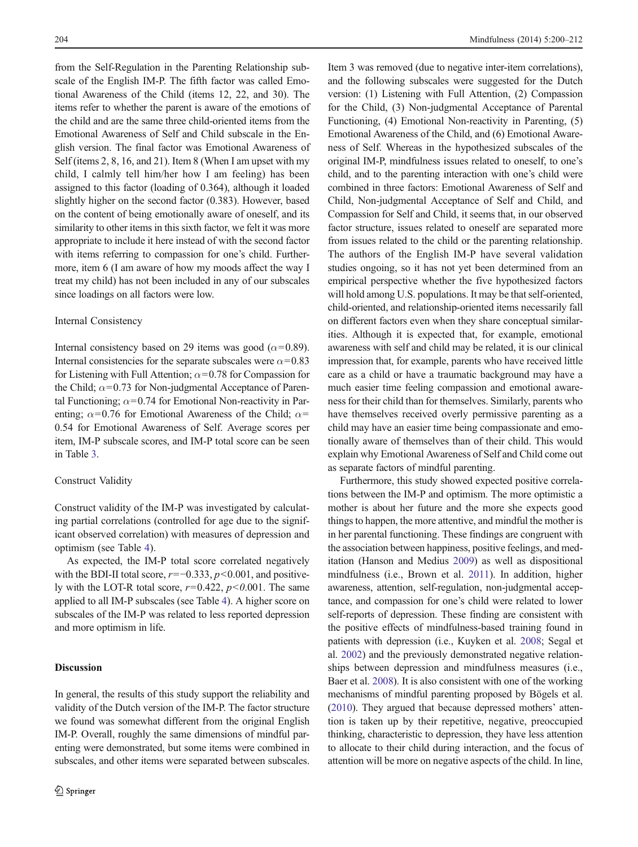from the Self-Regulation in the Parenting Relationship subscale of the English IM-P. The fifth factor was called Emotional Awareness of the Child (items 12, 22, and 30). The items refer to whether the parent is aware of the emotions of the child and are the same three child-oriented items from the Emotional Awareness of Self and Child subscale in the English version. The final factor was Emotional Awareness of Self (items 2, 8, 16, and 21). Item 8 (When I am upset with my child, I calmly tell him/her how I am feeling) has been assigned to this factor (loading of 0.364), although it loaded slightly higher on the second factor (0.383). However, based on the content of being emotionally aware of oneself, and its similarity to other items in this sixth factor, we felt it was more appropriate to include it here instead of with the second factor with items referring to compassion for one's child. Furthermore, item 6 (I am aware of how my moods affect the way I treat my child) has not been included in any of our subscales since loadings on all factors were low.

### Internal Consistency

Internal consistency based on 29 items was good ( $\alpha$ =0.89). Internal consistencies for the separate subscales were  $\alpha$ =0.83 for Listening with Full Attention;  $\alpha$ =0.78 for Compassion for the Child;  $\alpha$ =0.73 for Non-judgmental Acceptance of Parental Functioning;  $\alpha$ =0.74 for Emotional Non-reactivity in Parenting;  $\alpha$ =0.76 for Emotional Awareness of the Child;  $\alpha$ = 0.54 for Emotional Awareness of Self. Average scores per item, IM-P subscale scores, and IM-P total score can be seen in Table [3](#page-5-0).

### Construct Validity

Construct validity of the IM-P was investigated by calculating partial correlations (controlled for age due to the significant observed correlation) with measures of depression and optimism (see Table [4\)](#page-6-0).

As expected, the IM-P total score correlated negatively with the BDI-II total score,  $r=-0.333$ ,  $p<0.001$ , and positively with the LOT-R total score,  $r=0.422$ ,  $p<0.001$ . The same applied to all IM-P subscales (see Table [4\)](#page-6-0). A higher score on subscales of the IM-P was related to less reported depression and more optimism in life.

# Discussion

In general, the results of this study support the reliability and validity of the Dutch version of the IM-P. The factor structure we found was somewhat different from the original English IM-P. Overall, roughly the same dimensions of mindful parenting were demonstrated, but some items were combined in subscales, and other items were separated between subscales. Item 3 was removed (due to negative inter-item correlations), and the following subscales were suggested for the Dutch version: (1) Listening with Full Attention, (2) Compassion for the Child, (3) Non-judgmental Acceptance of Parental Functioning, (4) Emotional Non-reactivity in Parenting, (5) Emotional Awareness of the Child, and (6) Emotional Awareness of Self. Whereas in the hypothesized subscales of the original IM-P, mindfulness issues related to oneself, to one's child, and to the parenting interaction with one's child were combined in three factors: Emotional Awareness of Self and Child, Non-judgmental Acceptance of Self and Child, and Compassion for Self and Child, it seems that, in our observed factor structure, issues related to oneself are separated more from issues related to the child or the parenting relationship. The authors of the English IM-P have several validation studies ongoing, so it has not yet been determined from an empirical perspective whether the five hypothesized factors will hold among U.S. populations. It may be that self-oriented, child-oriented, and relationship-oriented items necessarily fall on different factors even when they share conceptual similarities. Although it is expected that, for example, emotional awareness with self and child may be related, it is our clinical impression that, for example, parents who have received little care as a child or have a traumatic background may have a much easier time feeling compassion and emotional awareness for their child than for themselves. Similarly, parents who have themselves received overly permissive parenting as a child may have an easier time being compassionate and emotionally aware of themselves than of their child. This would explain why Emotional Awareness of Self and Child come out as separate factors of mindful parenting.

Furthermore, this study showed expected positive correlations between the IM-P and optimism. The more optimistic a mother is about her future and the more she expects good things to happen, the more attentive, and mindful the mother is in her parental functioning. These findings are congruent with the association between happiness, positive feelings, and meditation (Hanson and Medius [2009\)](#page-12-0) as well as dispositional mindfulness (i.e., Brown et al. [2011](#page-11-0)). In addition, higher awareness, attention, self-regulation, non-judgmental acceptance, and compassion for one's child were related to lower self-reports of depression. These finding are consistent with the positive effects of mindfulness-based training found in patients with depression (i.e., Kuyken et al. [2008](#page-12-0); Segal et al. [2002](#page-12-0)) and the previously demonstrated negative relationships between depression and mindfulness measures (i.e., Baer et al. [2008](#page-11-0)). It is also consistent with one of the working mechanisms of mindful parenting proposed by Bögels et al. [\(2010\)](#page-11-0). They argued that because depressed mothers' attention is taken up by their repetitive, negative, preoccupied thinking, characteristic to depression, they have less attention to allocate to their child during interaction, and the focus of attention will be more on negative aspects of the child. In line,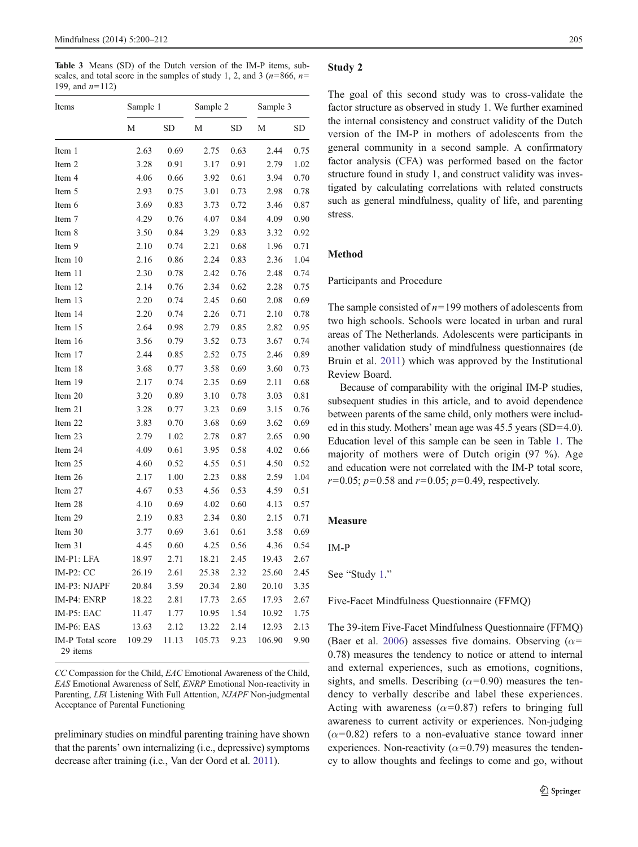<span id="page-5-0"></span>Table 3 Means (SD) of the Dutch version of the IM-P items, subscales, and total score in the samples of study 1, 2, and 3 ( $n=866$ ,  $n=$ 199, and  $n=112$ )

| Items                               | Sample 1<br>Sample 2<br>Sample 3 |           |        |           |        |           |
|-------------------------------------|----------------------------------|-----------|--------|-----------|--------|-----------|
|                                     | M                                | <b>SD</b> | М      | <b>SD</b> | M      | <b>SD</b> |
| Item 1                              | 2.63                             | 0.69      | 2.75   | 0.63      | 2.44   | 0.75      |
| Item 2                              | 3.28                             | 0.91      | 3.17   | 0.91      | 2.79   | 1.02      |
| Item 4                              | 4.06                             | 0.66      | 3.92   | 0.61      | 3.94   | 0.70      |
| Item 5                              | 2.93                             | 0.75      | 3.01   | 0.73      | 2.98   | 0.78      |
| Item 6                              | 3.69                             | 0.83      | 3.73   | 0.72      | 3.46   | 0.87      |
| Item 7                              | 4.29                             | 0.76      | 4.07   | 0.84      | 4.09   | 0.90      |
| Item 8                              | 3.50                             | 0.84      | 3.29   | 0.83      | 3.32   | 0.92      |
| Item 9                              | 2.10                             | 0.74      | 2.21   | 0.68      | 1.96   | 0.71      |
| Item 10                             | 2.16                             | 0.86      | 2.24   | 0.83      | 2.36   | 1.04      |
| Item 11                             | 2.30                             | 0.78      | 2.42   | 0.76      | 2.48   | 0.74      |
| Item 12                             | 2.14                             | 0.76      | 2.34   | 0.62      | 2.28   | 0.75      |
| Item 13                             | 2.20                             | 0.74      | 2.45   | 0.60      | 2.08   | 0.69      |
| Item 14                             | 2.20                             | 0.74      | 2.26   | 0.71      | 2.10   | 0.78      |
| Item 15                             | 2.64                             | 0.98      | 2.79   | 0.85      | 2.82   | 0.95      |
| Item 16                             | 3.56                             | 0.79      | 3.52   | 0.73      | 3.67   | 0.74      |
| Item 17                             | 2.44                             | 0.85      | 2.52   | 0.75      | 2.46   | 0.89      |
| Item 18                             | 3.68                             | 0.77      | 3.58   | 0.69      | 3.60   | 0.73      |
| Item 19                             | 2.17                             | 0.74      | 2.35   | 0.69      | 2.11   | 0.68      |
| Item 20                             | 3.20                             | 0.89      | 3.10   | 0.78      | 3.03   | 0.81      |
| Item 21                             | 3.28                             | 0.77      | 3.23   | 0.69      | 3.15   | 0.76      |
| Item 22                             | 3.83                             | 0.70      | 3.68   | 0.69      | 3.62   | 0.69      |
| Item 23                             | 2.79                             | 1.02      | 2.78   | 0.87      | 2.65   | 0.90      |
| Item 24                             | 4.09                             | 0.61      | 3.95   | 0.58      | 4.02   | 0.66      |
| Item 25                             | 4.60                             | 0.52      | 4.55   | 0.51      | 4.50   | 0.52      |
| Item 26                             | 2.17                             | 1.00      | 2.23   | 0.88      | 2.59   | 1.04      |
| Item 27                             | 4.67                             | 0.53      | 4.56   | 0.53      | 4.59   | 0.51      |
| Item 28                             | 4.10                             | 0.69      | 4.02   | 0.60      | 4.13   | 0.57      |
| Item 29                             | 2.19                             | 0.83      | 2.34   | 0.80      | 2.15   | 0.71      |
| Item 30                             | 3.77                             | 0.69      | 3.61   | 0.61      | 3.58   | 0.69      |
| Item 31                             | 4.45                             | 0.60      | 4.25   | 0.56      | 4.36   | 0.54      |
| IM-P1: LFA                          | 18.97                            | 2.71      | 18.21  | 2.45      | 19.43  | 2.67      |
| IM-P2: CC                           | 26.19                            | 2.61      | 25.38  | 2.32      | 25.60  | 2.45      |
| IM-P3: NJAPF                        | 20.84                            | 3.59      | 20.34  | 2.80      | 20.10  | 3.35      |
| IM-P4: ENRP                         | 18.22                            | 2.81      | 17.73  | 2.65      | 17.93  | 2.67      |
| IM-P5: EAC                          | 11.47                            | 1.77      | 10.95  | 1.54      | 10.92  | 1.75      |
| IM-P6: EAS                          | 13.63                            | 2.12      | 13.22  | 2.14      | 12.93  | 2.13      |
| <b>IM-P</b> Total score<br>29 items | 109.29                           | 11.13     | 105.73 | 9.23      | 106.90 | 9.90      |

CC Compassion for the Child, EAC Emotional Awareness of the Child, EAS Emotional Awareness of Self, ENRP Emotional Non-reactivity in Parenting, LFA Listening With Full Attention, NJAPF Non-judgmental Acceptance of Parental Functioning

preliminary studies on mindful parenting training have shown that the parents' own internalizing (i.e., depressive) symptoms decrease after training (i.e., Van der Oord et al. [2011\)](#page-12-0).

# Study 2

The goal of this second study was to cross-validate the factor structure as observed in study 1. We further examined the internal consistency and construct validity of the Dutch version of the IM-P in mothers of adolescents from the general community in a second sample. A confirmatory factor analysis (CFA) was performed based on the factor structure found in study 1, and construct validity was investigated by calculating correlations with related constructs such as general mindfulness, quality of life, and parenting stress.

## Method

#### Participants and Procedure

The sample consisted of  $n=199$  mothers of adolescents from two high schools. Schools were located in urban and rural areas of The Netherlands. Adolescents were participants in another validation study of mindfulness questionnaires (de Bruin et al. [2011\)](#page-12-0) which was approved by the Institutional Review Board.

Because of comparability with the original IM-P studies, subsequent studies in this article, and to avoid dependence between parents of the same child, only mothers were included in this study. Mothers' mean age was  $45.5$  years (SD=4.0). Education level of this sample can be seen in Table [1](#page-2-0). The majority of mothers were of Dutch origin (97 %). Age and education were not correlated with the IM-P total score,  $r=0.05$ ;  $p=0.58$  and  $r=0.05$ ;  $p=0.49$ , respectively.

### Measure

IM-P

See "Study [1.](#page-1-0)"

Five-Facet Mindfulness Questionnaire (FFMQ)

The 39-item Five-Facet Mindfulness Questionnaire (FFMQ) (Baer et al. [2006\)](#page-11-0) assesses five domains. Observing ( $\alpha$ = 0.78) measures the tendency to notice or attend to internal and external experiences, such as emotions, cognitions, sights, and smells. Describing ( $\alpha$ =0.90) measures the tendency to verbally describe and label these experiences. Acting with awareness ( $\alpha$ =0.87) refers to bringing full awareness to current activity or experiences. Non-judging  $(\alpha=0.82)$  refers to a non-evaluative stance toward inner experiences. Non-reactivity ( $\alpha$ =0.79) measures the tendency to allow thoughts and feelings to come and go, without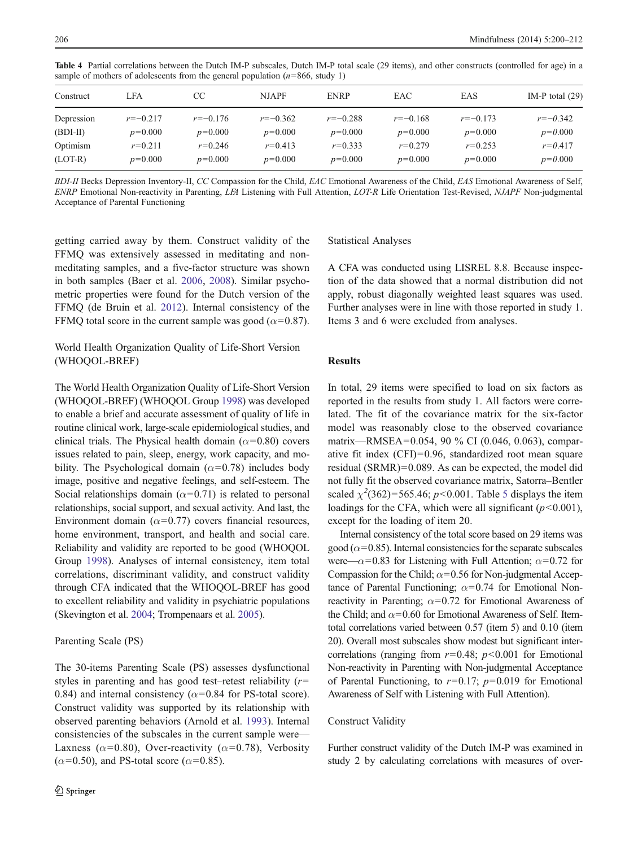| Construct  | LFA.         | <sub>CC</sub> | <b>NJAPF</b> | <b>ENRP</b>  | EAC.         | EAS          | IM-P total $(29)$ |
|------------|--------------|---------------|--------------|--------------|--------------|--------------|-------------------|
| Depression | $r = -0.217$ | $r = -0.176$  | $r = -0.362$ | $r = -0.288$ | $r = -0.168$ | $r = -0.173$ | $r = -0.342$      |
| $(BDI-II)$ | $p=0.000$    | $p=0.000$     | $p=0.000$    | $p=0.000$    | $p=0.000$    | $p=0.000$    | $p = 0.000$       |
| Optimism   | $r = 0.211$  | $r = 0.246$   | $r=0.413$    | $r=0.333$    | $r=0.279$    | $r = 0.253$  | $r = 0.417$       |
| $(LOT-R)$  | $p=0.000$    | $p=0.000$     | $p=0.000$    | $p=0.000$    | $p=0.000$    | $p=0.000$    | $p = 0.000$       |

<span id="page-6-0"></span>Table 4 Partial correlations between the Dutch IM-P subscales, Dutch IM-P total scale (29 items), and other constructs (controlled for age) in a sample of mothers of adolescents from the general population  $(n=866, \text{ study } 1)$ 

BDI-II Becks Depression Inventory-II, CC Compassion for the Child, EAC Emotional Awareness of the Child, EAS Emotional Awareness of Self. ENRP Emotional Non-reactivity in Parenting, LFA Listening with Full Attention, LOT-R Life Orientation Test-Revised, NJAPF Non-judgmental Acceptance of Parental Functioning

getting carried away by them. Construct validity of the FFMQ was extensively assessed in meditating and nonmeditating samples, and a five-factor structure was shown in both samples (Baer et al. [2006](#page-11-0), [2008\)](#page-11-0). Similar psychometric properties were found for the Dutch version of the FFMQ (de Bruin et al. [2012](#page-12-0)). Internal consistency of the FFMQ total score in the current sample was good ( $\alpha$ =0.87).

# World Health Organization Quality of Life-Short Version (WHOQOL-BREF)

The World Health Organization Quality of Life-Short Version (WHOQOL-BREF) (WHOQOL Group [1998](#page-12-0)) was developed to enable a brief and accurate assessment of quality of life in routine clinical work, large-scale epidemiological studies, and clinical trials. The Physical health domain ( $\alpha$ =0.80) covers issues related to pain, sleep, energy, work capacity, and mobility. The Psychological domain ( $\alpha$ =0.78) includes body image, positive and negative feelings, and self-esteem. The Social relationships domain ( $\alpha$ =0.71) is related to personal relationships, social support, and sexual activity. And last, the Environment domain ( $\alpha$ =0.77) covers financial resources, home environment, transport, and health and social care. Reliability and validity are reported to be good (WHOQOL Group [1998\)](#page-12-0). Analyses of internal consistency, item total correlations, discriminant validity, and construct validity through CFA indicated that the WHOQOL-BREF has good to excellent reliability and validity in psychiatric populations (Skevington et al. [2004](#page-12-0); Trompenaars et al. [2005\)](#page-12-0).

Parenting Scale (PS)

The 30-items Parenting Scale (PS) assesses dysfunctional styles in parenting and has good test–retest reliability  $(r=$ 0.84) and internal consistency ( $\alpha$ =0.84 for PS-total score). Construct validity was supported by its relationship with observed parenting behaviors (Arnold et al. [1993\)](#page-11-0). Internal consistencies of the subscales in the current sample were— Laxness ( $\alpha$ =0.80), Over-reactivity ( $\alpha$ =0.78), Verbosity ( $\alpha$ =0.50), and PS-total score ( $\alpha$ =0.85).

### Statistical Analyses

A CFA was conducted using LISREL 8.8. Because inspection of the data showed that a normal distribution did not apply, robust diagonally weighted least squares was used. Further analyses were in line with those reported in study 1. Items 3 and 6 were excluded from analyses.

# Results

In total, 29 items were specified to load on six factors as reported in the results from study 1. All factors were correlated. The fit of the covariance matrix for the six-factor model was reasonably close to the observed covariance matrix—RMSEA=0.054, 90 % CI (0.046, 0.063), comparative fit index  $(CFI) = 0.96$ , standardized root mean square residual (SRMR)= $0.089$ . As can be expected, the model did not fully fit the observed covariance matrix, Satorra–Bentler scaled  $\chi^2(362)=565.46$  $\chi^2(362)=565.46$  $\chi^2(362)=565.46$ ; p<0.001. Table 5 displays the item loadings for the CFA, which were all significant  $(p<0.001)$ , except for the loading of item 20.

Internal consistency of the total score based on 29 items was good ( $\alpha$ =0.85). Internal consistencies for the separate subscales were— $\alpha$ =0.83 for Listening with Full Attention;  $\alpha$ =0.72 for Compassion for the Child;  $\alpha$ =0.56 for Non-judgmental Acceptance of Parental Functioning;  $\alpha$ =0.74 for Emotional Nonreactivity in Parenting;  $\alpha=0.72$  for Emotional Awareness of the Child; and  $\alpha$ =0.60 for Emotional Awareness of Self. Itemtotal correlations varied between 0.57 (item 5) and 0.10 (item 20). Overall most subscales show modest but significant intercorrelations (ranging from  $r=0.48$ ;  $p<0.001$  for Emotional Non-reactivity in Parenting with Non-judgmental Acceptance of Parental Functioning, to  $r=0.17$ ;  $p=0.019$  for Emotional Awareness of Self with Listening with Full Attention).

# Construct Validity

Further construct validity of the Dutch IM-P was examined in study 2 by calculating correlations with measures of over-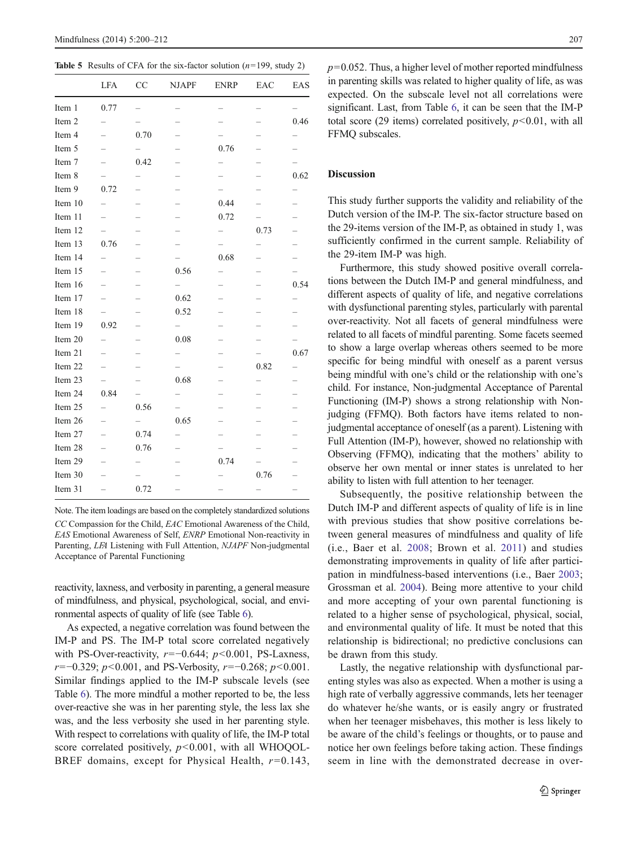<span id="page-7-0"></span>

|  |  |  | <b>Table 5</b> Results of CFA for the six-factor solution $(n=199, \text{ study } 2)$ |  |
|--|--|--|---------------------------------------------------------------------------------------|--|
|--|--|--|---------------------------------------------------------------------------------------|--|

|         | <b>LFA</b>               | CC   | $\it NJAPF$ | ${\rm ENRP}$ | EAC  | EAS                      |
|---------|--------------------------|------|-------------|--------------|------|--------------------------|
| Item 1  | 0.77                     |      |             |              |      |                          |
| Item 2  |                          |      |             |              |      | 0.46                     |
| Item 4  |                          | 0.70 |             |              |      |                          |
| Item 5  |                          |      |             | 0.76         |      |                          |
| Item 7  |                          | 0.42 |             |              |      |                          |
| Item 8  |                          |      |             |              |      | 0.62                     |
| Item 9  | 0.72                     |      |             |              |      |                          |
| Item 10 |                          |      |             | 0.44         |      |                          |
| Item 11 |                          |      |             | 0.72         |      |                          |
| Item 12 |                          |      |             |              | 0.73 |                          |
| Item 13 | 0.76                     |      |             |              |      |                          |
| Item 14 | $\overline{\phantom{0}}$ |      |             | 0.68         |      |                          |
| Item 15 |                          |      | 0.56        |              |      |                          |
| Item 16 |                          |      |             |              |      | 0.54                     |
| Item 17 |                          |      | 0.62        |              |      | $\overline{\phantom{0}}$ |
| Item 18 |                          |      | 0.52        |              |      |                          |
| Item 19 | 0.92                     |      |             |              |      |                          |
| Item 20 |                          |      | 0.08        |              |      |                          |
| Item 21 |                          |      |             |              |      | 0.67                     |
| Item 22 |                          |      |             |              | 0.82 | -                        |
| Item 23 |                          |      | 0.68        |              |      |                          |
| Item 24 | 0.84                     |      |             |              |      |                          |
| Item 25 |                          | 0.56 |             |              |      |                          |
| Item 26 |                          |      | 0.65        |              |      |                          |
| Item 27 |                          | 0.74 |             |              |      |                          |
| Item 28 |                          | 0.76 |             |              |      |                          |
| Item 29 |                          |      |             | 0.74         |      |                          |
| Item 30 |                          |      |             |              | 0.76 |                          |
| Item 31 |                          | 0.72 |             |              |      |                          |

Note. The item loadings are based on the completely standardized solutions CC Compassion for the Child, EAC Emotional Awareness of the Child, EAS Emotional Awareness of Self, ENRP Emotional Non-reactivity in Parenting, LFA Listening with Full Attention, NJAPF Non-judgmental Acceptance of Parental Functioning

reactivity, laxness, and verbosity in parenting, a general measure of mindfulness, and physical, psychological, social, and environmental aspects of quality of life (see Table [6](#page-8-0)).

As expected, a negative correlation was found between the IM-P and PS. The IM-P total score correlated negatively with PS-Over-reactivity,  $r=-0.644$ ;  $p<0.001$ , PS-Laxness, r=−0.329; p<0.001, and PS-Verbosity, r=−0.268; p<0.001. Similar findings applied to the IM-P subscale levels (see Table [6](#page-8-0)). The more mindful a mother reported to be, the less over-reactive she was in her parenting style, the less lax she was, and the less verbosity she used in her parenting style. With respect to correlations with quality of life, the IM-P total score correlated positively,  $p<0.001$ , with all WHOQOL-BREF domains, except for Physical Health,  $r=0.143$ ,  $p=0.052$ . Thus, a higher level of mother reported mindfulness in parenting skills was related to higher quality of life, as was expected. On the subscale level not all correlations were significant. Last, from Table [6,](#page-8-0) it can be seen that the IM-P total score (29 items) correlated positively,  $p<0.01$ , with all FFMQ subscales.

# Discussion

This study further supports the validity and reliability of the Dutch version of the IM-P. The six-factor structure based on the 29-items version of the IM-P, as obtained in study 1, was sufficiently confirmed in the current sample. Reliability of the 29-item IM-P was high.

Furthermore, this study showed positive overall correlations between the Dutch IM-P and general mindfulness, and different aspects of quality of life, and negative correlations with dysfunctional parenting styles, particularly with parental over-reactivity. Not all facets of general mindfulness were related to all facets of mindful parenting. Some facets seemed to show a large overlap whereas others seemed to be more specific for being mindful with oneself as a parent versus being mindful with one's child or the relationship with one's child. For instance, Non-judgmental Acceptance of Parental Functioning (IM-P) shows a strong relationship with Nonjudging (FFMQ). Both factors have items related to nonjudgmental acceptance of oneself (as a parent). Listening with Full Attention (IM-P), however, showed no relationship with Observing (FFMQ), indicating that the mothers' ability to observe her own mental or inner states is unrelated to her ability to listen with full attention to her teenager.

Subsequently, the positive relationship between the Dutch IM-P and different aspects of quality of life is in line with previous studies that show positive correlations between general measures of mindfulness and quality of life (i.e., Baer et al. [2008;](#page-11-0) Brown et al. [2011](#page-11-0)) and studies demonstrating improvements in quality of life after participation in mindfulness-based interventions (i.e., Baer [2003;](#page-11-0) Grossman et al. [2004\)](#page-12-0). Being more attentive to your child and more accepting of your own parental functioning is related to a higher sense of psychological, physical, social, and environmental quality of life. It must be noted that this relationship is bidirectional; no predictive conclusions can be drawn from this study.

Lastly, the negative relationship with dysfunctional parenting styles was also as expected. When a mother is using a high rate of verbally aggressive commands, lets her teenager do whatever he/she wants, or is easily angry or frustrated when her teenager misbehaves, this mother is less likely to be aware of the child's feelings or thoughts, or to pause and notice her own feelings before taking action. These findings seem in line with the demonstrated decrease in over-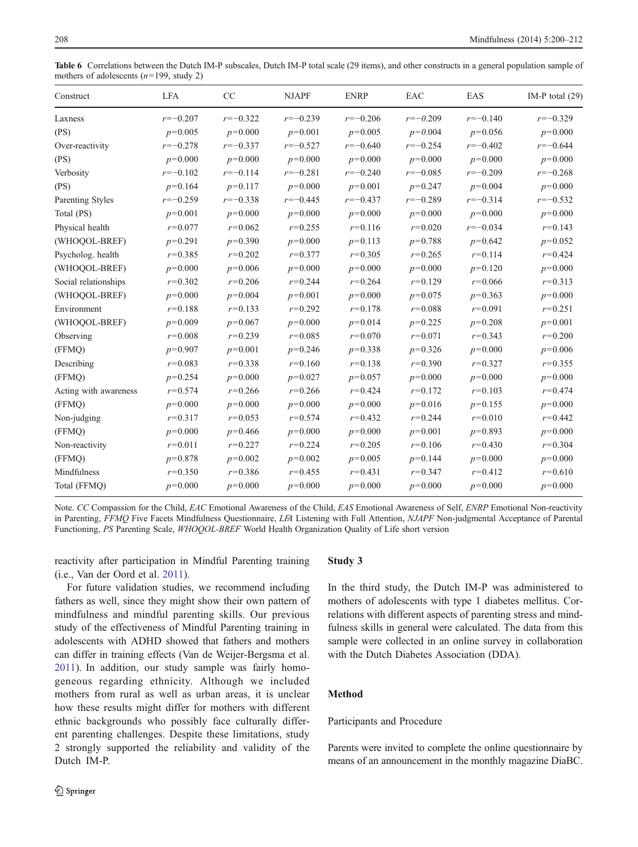<span id="page-8-0"></span>Table 6 Correlations between the Dutch IM-P subscales, Dutch IM-P total scale (29 items), and other constructs in a general population sample of mothers of adolescents  $(n=199, \text{ study } 2)$ 

| Construct             | <b>LFA</b>   | CC           | <b>NJAPF</b> | <b>ENRP</b>  | EAC          | EAS          | IM-P total $(29)$ |
|-----------------------|--------------|--------------|--------------|--------------|--------------|--------------|-------------------|
| Laxness               | $r = -0.207$ | $r = -0.322$ | $r = -0.239$ | $r = -0.206$ | $r = -0.209$ | $r = -0.140$ | $r = -0.329$      |
| (PS)                  | $p=0.005$    | $p=0.000$    | $p=0.001$    | $p=0.005$    | $p=0.004$    | $p=0.056$    | $p=0.000$         |
| Over-reactivity       | $r = -0.278$ | $r = -0.337$ | $r = -0.527$ | $r = -0.640$ | $r = -0.254$ | $r = -0.402$ | $r = -0.644$      |
| (PS)                  | $p=0.000$    | $p=0.000$    | $p=0.000$    | $p=0.000$    | $p=0.000$    | $p=0.000$    | $p=0.000$         |
| Verbosity             | $r = -0.102$ | $r = -0.114$ | $r = -0.281$ | $r = -0.240$ | $r = -0.085$ | $r = -0.209$ | $r = -0.268$      |
| (PS)                  | $p=0.164$    | $p=0.117$    | $p=0.000$    | $p=0.001$    | $p=0.247$    | $p=0.004$    | $p=0.000$         |
| Parenting Styles      | $r=-0.259$   | $r = -0.338$ | $r = -0.445$ | $r = -0.437$ | $r = -0.289$ | $r = -0.314$ | $r = -0.532$      |
| Total (PS)            | $p=0.001$    | $p=0.000$    | $p=0.000$    | $p=0.000$    | $p=0.000$    | $p=0.000$    | $p=0.000$         |
| Physical health       | $r = 0.077$  | $r = 0.062$  | $r = 0.255$  | $r = 0.116$  | $r = 0.020$  | $r = -0.034$ | $r = 0.143$       |
| (WHOQOL-BREF)         | $p=0.291$    | $p=0.390$    | $p=0.000$    | $p=0.113$    | $p=0.788$    | $p=0.642$    | $p=0.052$         |
| Psycholog. health     | $r = 0.385$  | $r = 0.202$  | $r = 0.377$  | $r = 0.305$  | $r = 0.265$  | $r = 0.114$  | $r = 0.424$       |
| (WHOOOL-BREF)         | $p=0.000$    | $p=0.006$    | $p=0.000$    | $p=0.000$    | $p=0.000$    | $p=0.120$    | $p=0.000$         |
| Social relationships  | $r = 0.302$  | $r = 0.206$  | $r = 0.244$  | $r = 0.264$  | $r = 0.129$  | $r = 0.066$  | $r = 0.313$       |
| (WHOQOL-BREF)         | $p=0.000$    | $p=0.004$    | $p=0.001$    | $p=0.000$    | $p=0.075$    | $p=0.363$    | $p=0.000$         |
| Environment           | $r = 0.188$  | $r = 0.133$  | $r=0.292$    | $r = 0.178$  | $r = 0.088$  | $r = 0.091$  | $r = 0.251$       |
| (WHOQOL-BREF)         | $p=0.009$    | $p=0.067$    | $p=0.000$    | $p=0.014$    | $p=0.225$    | $p=0.208$    | $p=0.001$         |
| Observing             | $r = 0.008$  | $r = 0.239$  | $r = 0.085$  | $r = 0.070$  | $r = 0.071$  | $r = 0.343$  | $r = 0.200$       |
| (FFMO)                | $p=0.907$    | $p=0.001$    | $p=0.246$    | $p=0.338$    | $p=0.326$    | $p=0.000$    | $p=0.006$         |
| Describing            | $r = 0.083$  | $r = 0.338$  | $r = 0.160$  | $r = 0.138$  | $r = 0.390$  | $r = 0.327$  | $r = 0.355$       |
| (FFMQ)                | $p=0.254$    | $p=0.000$    | $p=0.027$    | $p=0.057$    | $p=0.000$    | $p=0.000$    | $p=0.000$         |
| Acting with awareness | $r = 0.574$  | $r = 0.266$  | $r = 0.266$  | $r = 0.424$  | $r = 0.172$  | $r = 0.103$  | $r = 0.474$       |
| (FFMQ)                | $p=0.000$    | $p=0.000$    | $p=0.000$    | $p=0.000$    | $p=0.016$    | $p=0.155$    | $p=0.000$         |
| Non-judging           | $r = 0.317$  | $r = 0.053$  | $r = 0.574$  | $r = 0.432$  | $r = 0.244$  | $r = 0.010$  | $r = 0.442$       |
| (FFMO)                | $p=0.000$    | $p=0.466$    | $p=0.000$    | $p=0.000$    | $p=0.001$    | $p=0.893$    | $p=0.000$         |
| Non-reactivity        | $r = 0.011$  | $r = 0.227$  | $r = 0.224$  | $r = 0.205$  | $r = 0.106$  | $r = 0.430$  | $r = 0.304$       |
| (FFMQ)                | $p=0.878$    | $p=0.002$    | $p=0.002$    | $p=0.005$    | $p=0.144$    | $p=0.000$    | $p=0.000$         |
| Mindfulness           | $r = 0.350$  | $r = 0.386$  | $r = 0.455$  | $r = 0.431$  | $r = 0.347$  | $r = 0.412$  | $r = 0.610$       |
| Total (FFMQ)          | $p=0.000$    | $p=0.000$    | $p=0.000$    | $p=0.000$    | $p=0.000$    | $p=0.000$    | $p=0.000$         |
|                       |              |              |              |              |              |              |                   |

Note. CC Compassion for the Child, EAC Emotional Awareness of the Child, EAS Emotional Awareness of Self, ENRP Emotional Non-reactivity in Parenting, FFMQ Five Facets Mindfulness Questionnaire, LFA Listening with Full Attention, NJAPF Non-judgmental Acceptance of Parental Functioning, PS Parenting Scale, WHOQOL-BREF World Health Organization Quality of Life short version

reactivity after participation in Mindful Parenting training (i.e., Van der Oord et al. [2011](#page-12-0)).

For future validation studies, we recommend including fathers as well, since they might show their own pattern of mindfulness and mindful parenting skills. Our previous study of the effectiveness of Mindful Parenting training in adolescents with ADHD showed that fathers and mothers can differ in training effects (Van de Weijer-Bergsma et al. [2011\)](#page-12-0). In addition, our study sample was fairly homogeneous regarding ethnicity. Although we included mothers from rural as well as urban areas, it is unclear how these results might differ for mothers with different ethnic backgrounds who possibly face culturally different parenting challenges. Despite these limitations, study 2 strongly supported the reliability and validity of the Dutch IM-P.

# Study 3

In the third study, the Dutch IM-P was administered to mothers of adolescents with type 1 diabetes mellitus. Correlations with different aspects of parenting stress and mindfulness skills in general were calculated. The data from this sample were collected in an online survey in collaboration with the Dutch Diabetes Association (DDA).

# Method

Participants and Procedure

Parents were invited to complete the online questionnaire by means of an announcement in the monthly magazine DiaBC.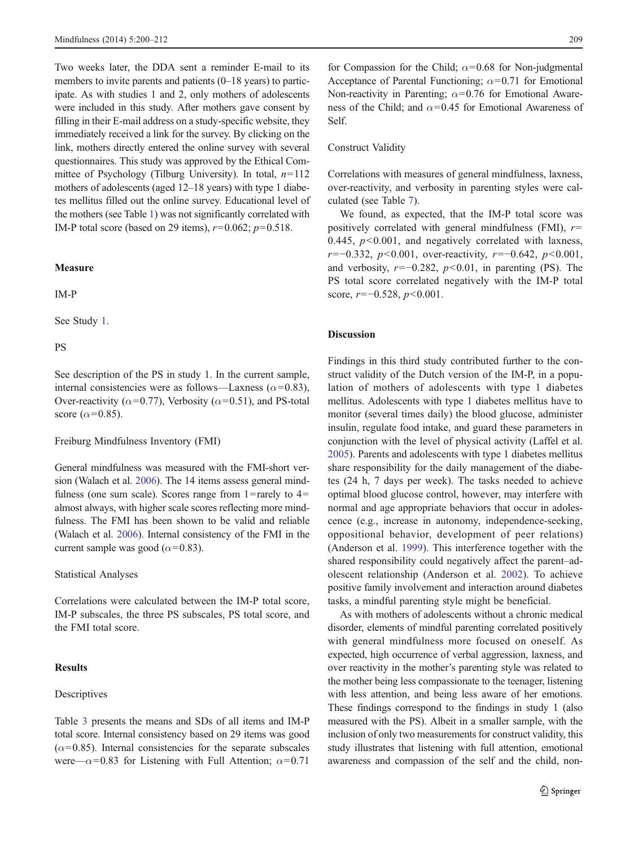Two weeks later, the DDA sent a reminder E-mail to its members to invite parents and patients (0–18 years) to participate. As with studies 1 and 2, only mothers of adolescents were included in this study. After mothers gave consent by filling in their E-mail address on a study-specific website, they immediately received a link for the survey. By clicking on the link, mothers directly entered the online survey with several questionnaires. This study was approved by the Ethical Committee of Psychology (Tilburg University). In total,  $n=112$ mothers of adolescents (aged 12–18 years) with type 1 diabetes mellitus filled out the online survey. Educational level of the mothers (see Table [1](#page-2-0)) was not significantly correlated with IM-P total score (based on 29 items),  $r=0.062$ ;  $p=0.518$ .

### **Measure**

IM-P

See Study [1](#page-1-0).

PS

See description of the PS in study 1. In the current sample, internal consistencies were as follows—Laxness ( $\alpha$ =0.83), Over-reactivity ( $\alpha$ =0.77), Verbosity ( $\alpha$ =0.51), and PS-total score ( $\alpha$ =0.85).

Freiburg Mindfulness Inventory (FMI)

General mindfulness was measured with the FMI-short version (Walach et al. [2006](#page-12-0)). The 14 items assess general mindfulness (one sum scale). Scores range from 1=rarely to  $4=$ almost always, with higher scale scores reflecting more mindfulness. The FMI has been shown to be valid and reliable (Walach et al. [2006\)](#page-12-0). Internal consistency of the FMI in the current sample was good ( $\alpha$ =0.83).

### Statistical Analyses

Correlations were calculated between the IM-P total score, IM-P subscales, the three PS subscales, PS total score, and the FMI total score.

# Results

# **Descriptives**

Table [3](#page-5-0) presents the means and SDs of all items and IM-P total score. Internal consistency based on 29 items was good  $(\alpha=0.85)$ . Internal consistencies for the separate subscales were— $\alpha$ =0.83 for Listening with Full Attention;  $\alpha$ =0.71

for Compassion for the Child;  $\alpha$ =0.68 for Non-judgmental Acceptance of Parental Functioning;  $\alpha$ =0.71 for Emotional Non-reactivity in Parenting;  $\alpha$ =0.76 for Emotional Awareness of the Child; and  $\alpha$ =0.45 for Emotional Awareness of Self.

### Construct Validity

Correlations with measures of general mindfulness, laxness, over-reactivity, and verbosity in parenting styles were calculated (see Table [7](#page-10-0)).

We found, as expected, that the IM-P total score was positively correlated with general mindfulness (FMI),  $r=$ 0.445,  $p<0.001$ , and negatively correlated with laxness, r=−0.332, p<0.001, over-reactivity, r=−0.642, p<0.001, and verbosity,  $r=-0.282$ ,  $p<0.01$ , in parenting (PS). The PS total score correlated negatively with the IM-P total score,  $r=-0.528$ ,  $p<0.001$ .

### Discussion

Findings in this third study contributed further to the construct validity of the Dutch version of the IM-P, in a population of mothers of adolescents with type 1 diabetes mellitus. Adolescents with type 1 diabetes mellitus have to monitor (several times daily) the blood glucose, administer insulin, regulate food intake, and guard these parameters in conjunction with the level of physical activity (Laffel et al. [2005](#page-12-0)). Parents and adolescents with type 1 diabetes mellitus share responsibility for the daily management of the diabetes (24 h, 7 days per week). The tasks needed to achieve optimal blood glucose control, however, may interfere with normal and age appropriate behaviors that occur in adolescence (e.g., increase in autonomy, independence-seeking, oppositional behavior, development of peer relations) (Anderson et al. [1999\)](#page-11-0). This interference together with the shared responsibility could negatively affect the parent–adolescent relationship (Anderson et al. [2002](#page-11-0)). To achieve positive family involvement and interaction around diabetes tasks, a mindful parenting style might be beneficial.

As with mothers of adolescents without a chronic medical disorder, elements of mindful parenting correlated positively with general mindfulness more focused on oneself. As expected, high occurrence of verbal aggression, laxness, and over reactivity in the mother's parenting style was related to the mother being less compassionate to the teenager, listening with less attention, and being less aware of her emotions. These findings correspond to the findings in study 1 (also measured with the PS). Albeit in a smaller sample, with the inclusion of only two measurements for construct validity, this study illustrates that listening with full attention, emotional awareness and compassion of the self and the child, non-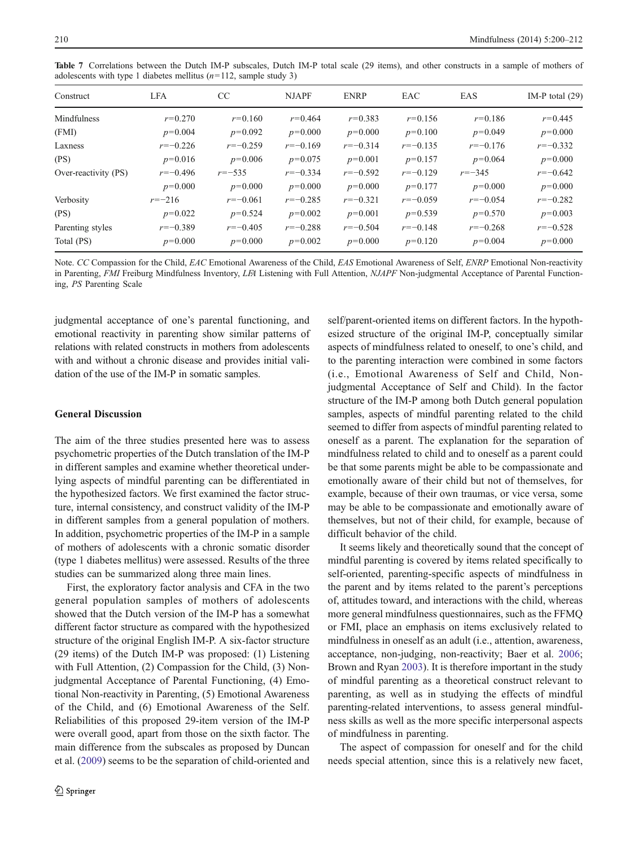| $\alpha$ and $\alpha$ and $\alpha$ and $\alpha$ and $\alpha$ and $\alpha$ and $\alpha$ and $\alpha$ and $\alpha$ and $\alpha$ and $\alpha$ and $\alpha$ and $\alpha$ and $\alpha$ and $\alpha$ and $\alpha$ and $\alpha$ and $\alpha$ and $\alpha$ and $\alpha$ and $\alpha$ and $\alpha$ and $\alpha$ and $\alpha$ and $\alpha$ |              |              |              |              |              |              |                   |  |  |
|----------------------------------------------------------------------------------------------------------------------------------------------------------------------------------------------------------------------------------------------------------------------------------------------------------------------------------|--------------|--------------|--------------|--------------|--------------|--------------|-------------------|--|--|
| Construct                                                                                                                                                                                                                                                                                                                        | LFA          | CC.          | <b>NJAPF</b> | <b>ENRP</b>  | EAC          | EAS          | IM-P total $(29)$ |  |  |
| <b>Mindfulness</b>                                                                                                                                                                                                                                                                                                               | $r = 0.270$  | $r=0.160$    | $r = 0.464$  | $r = 0.383$  | $r = 0.156$  | $r = 0.186$  | $r = 0.445$       |  |  |
| (FMI)                                                                                                                                                                                                                                                                                                                            | $p=0.004$    | $p=0.092$    | $p=0.000$    | $p=0.000$    | $p=0.100$    | $p=0.049$    | $p=0.000$         |  |  |
| Laxness                                                                                                                                                                                                                                                                                                                          | $r = -0.226$ | $r = -0.259$ | $r = -0.169$ | $r = -0.314$ | $r = -0.135$ | $r = -0.176$ | $r = -0.332$      |  |  |
| (PS)                                                                                                                                                                                                                                                                                                                             | $p=0.016$    | $p=0.006$    | $p=0.075$    | $p=0.001$    | $p=0.157$    | $p=0.064$    | $p=0.000$         |  |  |
| Over-reactivity (PS)                                                                                                                                                                                                                                                                                                             | $r = -0.496$ | $r = -535$   | $r = -0.334$ | $r = -0.592$ | $r=-0.129$   | $r = -345$   | $r = -0.642$      |  |  |
|                                                                                                                                                                                                                                                                                                                                  | $p=0.000$    | $p=0.000$    | $p=0.000$    | $p=0.000$    | $p=0.177$    | $p=0.000$    | $p=0.000$         |  |  |
| Verbosity                                                                                                                                                                                                                                                                                                                        | $r = -216$   | $r = -0.061$ | $r = -0.285$ | $r = -0.321$ | $r = -0.059$ | $r = -0.054$ | $r = -0.282$      |  |  |
| (PS)                                                                                                                                                                                                                                                                                                                             | $p=0.022$    | $p=0.524$    | $p=0.002$    | $p=0.001$    | $p=0.539$    | $p=0.570$    | $p=0.003$         |  |  |
| Parenting styles                                                                                                                                                                                                                                                                                                                 | $r = -0.389$ | $r = -0.405$ | $r = -0.288$ | $r = -0.504$ | $r = -0.148$ | $r = -0.268$ | $r = -0.528$      |  |  |
| Total (PS)                                                                                                                                                                                                                                                                                                                       | $p=0.000$    | $p=0.000$    | $p=0.002$    | $p=0.000$    | $p=0.120$    | $p=0.004$    | $p=0.000$         |  |  |
|                                                                                                                                                                                                                                                                                                                                  |              |              |              |              |              |              |                   |  |  |

<span id="page-10-0"></span>Table 7 Correlations between the Dutch IM-P subscales, Dutch IM-P total scale (29 items), and other constructs in a sample of mothers of adolescents with type 1 diabetes mellitus  $(n=112, \text{ sample study } 3)$ 

Note. CC Compassion for the Child, EAC Emotional Awareness of the Child, EAS Emotional Awareness of Self, ENRP Emotional Non-reactivity in Parenting, FMI Freiburg Mindfulness Inventory, LFA Listening with Full Attention, NJAPF Non-judgmental Acceptance of Parental Functioning, PS Parenting Scale

judgmental acceptance of one's parental functioning, and emotional reactivity in parenting show similar patterns of relations with related constructs in mothers from adolescents with and without a chronic disease and provides initial validation of the use of the IM-P in somatic samples.

# General Discussion

The aim of the three studies presented here was to assess psychometric properties of the Dutch translation of the IM-P in different samples and examine whether theoretical underlying aspects of mindful parenting can be differentiated in the hypothesized factors. We first examined the factor structure, internal consistency, and construct validity of the IM-P in different samples from a general population of mothers. In addition, psychometric properties of the IM-P in a sample of mothers of adolescents with a chronic somatic disorder (type 1 diabetes mellitus) were assessed. Results of the three studies can be summarized along three main lines.

First, the exploratory factor analysis and CFA in the two general population samples of mothers of adolescents showed that the Dutch version of the IM-P has a somewhat different factor structure as compared with the hypothesized structure of the original English IM-P. A six-factor structure (29 items) of the Dutch IM-P was proposed: (1) Listening with Full Attention, (2) Compassion for the Child, (3) Nonjudgmental Acceptance of Parental Functioning, (4) Emotional Non-reactivity in Parenting, (5) Emotional Awareness of the Child, and (6) Emotional Awareness of the Self. Reliabilities of this proposed 29-item version of the IM-P were overall good, apart from those on the sixth factor. The main difference from the subscales as proposed by Duncan et al. ([2009\)](#page-12-0) seems to be the separation of child-oriented and self/parent-oriented items on different factors. In the hypothesized structure of the original IM-P, conceptually similar aspects of mindfulness related to oneself, to one's child, and to the parenting interaction were combined in some factors (i.e., Emotional Awareness of Self and Child, Nonjudgmental Acceptance of Self and Child). In the factor structure of the IM-P among both Dutch general population samples, aspects of mindful parenting related to the child seemed to differ from aspects of mindful parenting related to oneself as a parent. The explanation for the separation of mindfulness related to child and to oneself as a parent could be that some parents might be able to be compassionate and emotionally aware of their child but not of themselves, for example, because of their own traumas, or vice versa, some may be able to be compassionate and emotionally aware of themselves, but not of their child, for example, because of difficult behavior of the child.

It seems likely and theoretically sound that the concept of mindful parenting is covered by items related specifically to self-oriented, parenting-specific aspects of mindfulness in the parent and by items related to the parent's perceptions of, attitudes toward, and interactions with the child, whereas more general mindfulness questionnaires, such as the FFMQ or FMI, place an emphasis on items exclusively related to mindfulness in oneself as an adult (i.e., attention, awareness, acceptance, non-judging, non-reactivity; Baer et al. [2006;](#page-11-0) Brown and Ryan [2003](#page-11-0)). It is therefore important in the study of mindful parenting as a theoretical construct relevant to parenting, as well as in studying the effects of mindful parenting-related interventions, to assess general mindfulness skills as well as the more specific interpersonal aspects of mindfulness in parenting.

The aspect of compassion for oneself and for the child needs special attention, since this is a relatively new facet,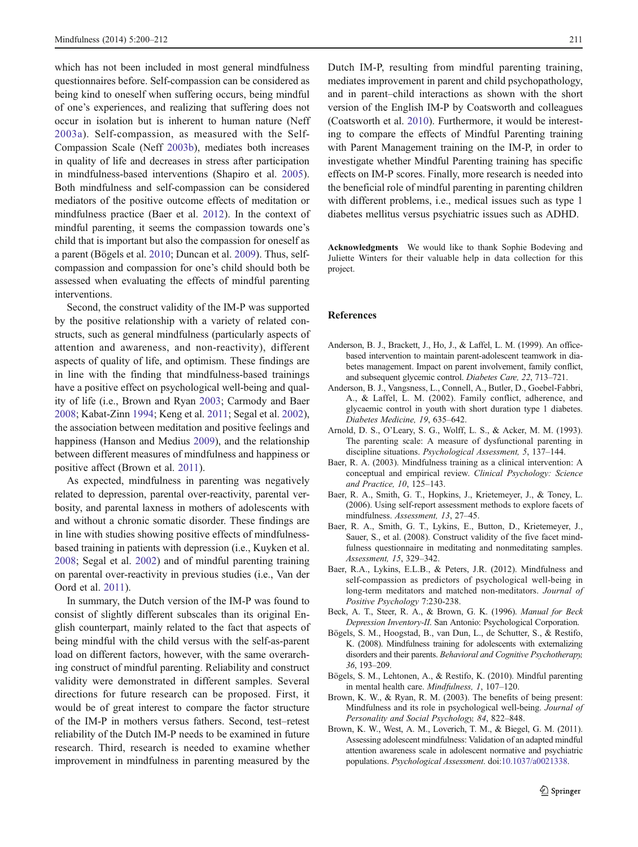<span id="page-11-0"></span>which has not been included in most general mindfulness questionnaires before. Self-compassion can be considered as being kind to oneself when suffering occurs, being mindful of one's experiences, and realizing that suffering does not occur in isolation but is inherent to human nature (Neff [2003a](#page-12-0)). Self-compassion, as measured with the Self-Compassion Scale (Neff [2003b](#page-12-0)), mediates both increases in quality of life and decreases in stress after participation in mindfulness-based interventions (Shapiro et al. [2005](#page-12-0)). Both mindfulness and self-compassion can be considered mediators of the positive outcome effects of meditation or mindfulness practice (Baer et al. 2012). In the context of mindful parenting, it seems the compassion towards one's child that is important but also the compassion for oneself as a parent (Bögels et al. 2010; Duncan et al. [2009\)](#page-12-0). Thus, selfcompassion and compassion for one's child should both be assessed when evaluating the effects of mindful parenting interventions.

Second, the construct validity of the IM-P was supported by the positive relationship with a variety of related constructs, such as general mindfulness (particularly aspects of attention and awareness, and non-reactivity), different aspects of quality of life, and optimism. These findings are in line with the finding that mindfulness-based trainings have a positive effect on psychological well-being and quality of life (i.e., Brown and Ryan 2003; Carmody and Baer [2008;](#page-12-0) Kabat-Zinn [1994;](#page-12-0) Keng et al. [2011](#page-12-0); Segal et al. [2002](#page-12-0)), the association between meditation and positive feelings and happiness (Hanson and Medius [2009\)](#page-12-0), and the relationship between different measures of mindfulness and happiness or positive affect (Brown et al. 2011).

As expected, mindfulness in parenting was negatively related to depression, parental over-reactivity, parental verbosity, and parental laxness in mothers of adolescents with and without a chronic somatic disorder. These findings are in line with studies showing positive effects of mindfulnessbased training in patients with depression (i.e., Kuyken et al. [2008;](#page-12-0) Segal et al. [2002](#page-12-0)) and of mindful parenting training on parental over-reactivity in previous studies (i.e., Van der Oord et al. [2011\)](#page-12-0).

In summary, the Dutch version of the IM-P was found to consist of slightly different subscales than its original English counterpart, mainly related to the fact that aspects of being mindful with the child versus with the self-as-parent load on different factors, however, with the same overarching construct of mindful parenting. Reliability and construct validity were demonstrated in different samples. Several directions for future research can be proposed. First, it would be of great interest to compare the factor structure of the IM-P in mothers versus fathers. Second, test–retest reliability of the Dutch IM-P needs to be examined in future research. Third, research is needed to examine whether improvement in mindfulness in parenting measured by the

Dutch IM-P, resulting from mindful parenting training, mediates improvement in parent and child psychopathology, and in parent–child interactions as shown with the short version of the English IM-P by Coatsworth and colleagues (Coatsworth et al. [2010](#page-12-0)). Furthermore, it would be interesting to compare the effects of Mindful Parenting training with Parent Management training on the IM-P, in order to investigate whether Mindful Parenting training has specific effects on IM-P scores. Finally, more research is needed into the beneficial role of mindful parenting in parenting children with different problems, i.e., medical issues such as type 1 diabetes mellitus versus psychiatric issues such as ADHD.

Acknowledgments We would like to thank Sophie Bodeving and Juliette Winters for their valuable help in data collection for this project.

### References

- Anderson, B. J., Brackett, J., Ho, J., & Laffel, L. M. (1999). An officebased intervention to maintain parent-adolescent teamwork in diabetes management. Impact on parent involvement, family conflict, and subsequent glycemic control. Diabetes Care, 22, 713–721.
- Anderson, B. J., Vangsness, L., Connell, A., Butler, D., Goebel-Fabbri, A., & Laffel, L. M. (2002). Family conflict, adherence, and glycaemic control in youth with short duration type 1 diabetes. Diabetes Medicine, 19, 635–642.
- Arnold, D. S., O'Leary, S. G., Wolff, L. S., & Acker, M. M. (1993). The parenting scale: A measure of dysfunctional parenting in discipline situations. Psychological Assessment, 5, 137–144.
- Baer, R. A. (2003). Mindfulness training as a clinical intervention: A conceptual and empirical review. Clinical Psychology: Science and Practice, 10, 125–143.
- Baer, R. A., Smith, G. T., Hopkins, J., Krietemeyer, J., & Toney, L. (2006). Using self-report assessment methods to explore facets of mindfulness. Assessment, 13, 27–45.
- Baer, R. A., Smith, G. T., Lykins, E., Button, D., Krietemeyer, J., Sauer, S., et al. (2008). Construct validity of the five facet mindfulness questionnaire in meditating and nonmeditating samples. Assessment, 15, 329–342.
- Baer, R.A., Lykins, E.L.B., & Peters, J.R. (2012). Mindfulness and self-compassion as predictors of psychological well-being in long-term meditators and matched non-meditators. Journal of Positive Psychology 7:230-238.
- Beck, A. T., Steer, R. A., & Brown, G. K. (1996). Manual for Beck Depression Inventory-II. San Antonio: Psychological Corporation.
- Bögels, S. M., Hoogstad, B., van Dun, L., de Schutter, S., & Restifo, K. (2008). Mindfulness training for adolescents with externalizing disorders and their parents. Behavioral and Cognitive Psychotherapy, 36, 193–209.
- Bögels, S. M., Lehtonen, A., & Restifo, K. (2010). Mindful parenting in mental health care. Mindfulness, 1, 107–120.
- Brown, K. W., & Ryan, R. M. (2003). The benefits of being present: Mindfulness and its role in psychological well-being. Journal of Personality and Social Psychology, 84, 822–848.
- Brown, K. W., West, A. M., Loverich, T. M., & Biegel, G. M. (2011). Assessing adolescent mindfulness: Validation of an adapted mindful attention awareness scale in adolescent normative and psychiatric populations. Psychological Assessment. doi[:10.1037/a0021338.](http://dx.doi.org/10.1037/a0021338)